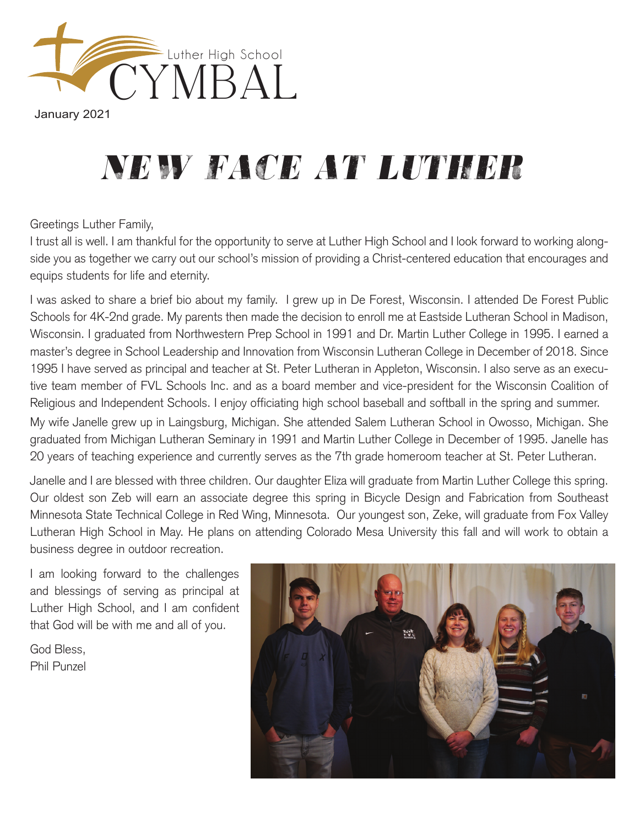

January 2021

## *new face at luther*

Greetings Luther Family,

I trust all is well. I am thankful for the opportunity to serve at Luther High School and I look forward to working alongside you as together we carry out our school's mission of providing a Christ-centered education that encourages and equips students for life and eternity.

I was asked to share a brief bio about my family. I grew up in De Forest, Wisconsin. I attended De Forest Public Schools for 4K-2nd grade. My parents then made the decision to enroll me at Eastside Lutheran School in Madison, Wisconsin. I graduated from Northwestern Prep School in 1991 and Dr. Martin Luther College in 1995. I earned a master's degree in School Leadership and Innovation from Wisconsin Lutheran College in December of 2018. Since 1995 I have served as principal and teacher at St. Peter Lutheran in Appleton, Wisconsin. I also serve as an executive team member of FVL Schools Inc. and as a board member and vice-president for the Wisconsin Coalition of Religious and Independent Schools. I enjoy officiating high school baseball and softball in the spring and summer. My wife Janelle grew up in Laingsburg, Michigan. She attended Salem Lutheran School in Owosso, Michigan. She graduated from Michigan Lutheran Seminary in 1991 and Martin Luther College in December of 1995. Janelle has 20 years of teaching experience and currently serves as the 7th grade homeroom teacher at St. Peter Lutheran.

Janelle and I are blessed with three children. Our daughter Eliza will graduate from Martin Luther College this spring. Our oldest son Zeb will earn an associate degree this spring in Bicycle Design and Fabrication from Southeast Minnesota State Technical College in Red Wing, Minnesota. Our youngest son, Zeke, will graduate from Fox Valley Lutheran High School in May. He plans on attending Colorado Mesa University this fall and will work to obtain a business degree in outdoor recreation.

I am looking forward to the challenges and blessings of serving as principal at Luther High School, and I am confident that God will be with me and all of you.

God Bless, Phil Punzel